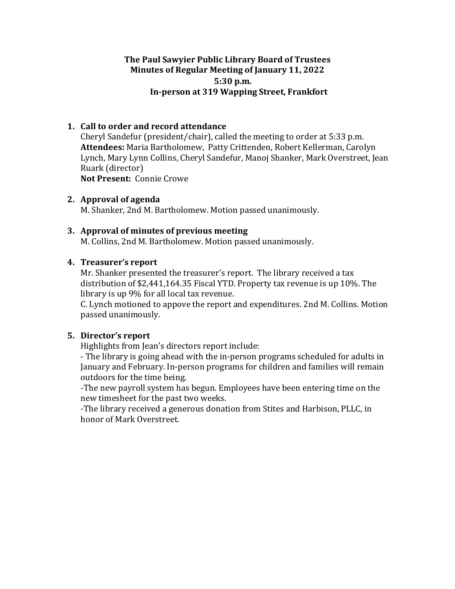# **The Paul Sawyier Public Library Board of Trustees Minutes of Regular Meeting of January 11, 2022 5:30 p.m. In-person at 319 Wapping Street, Frankfort**

# **1.** Call to order and record attendance

Cheryl Sandefur (president/chair), called the meeting to order at 5:33 p.m. Attendees: Maria Bartholomew, Patty Crittenden, Robert Kellerman, Carolyn Lynch, Mary Lynn Collins, Cheryl Sandefur, Manoj Shanker, Mark Overstreet, Jean Ruark (director) **Not Present: Connie Crowe** 

### **2. Approval of agenda**

M. Shanker, 2nd M. Bartholomew. Motion passed unanimously.

### **3.** Approval of minutes of previous meeting

M. Collins, 2nd M. Bartholomew. Motion passed unanimously.

### **4.** Treasurer's report

Mr. Shanker presented the treasurer's report. The library received a tax distribution of  $$2,441,164.35$  Fiscal YTD. Property tax revenue is up 10%. The library is up 9% for all local tax revenue.

C. Lynch motioned to appove the report and expenditures. 2nd M. Collins. Motion passed unanimously.

## **5.** Director's report

Highlights from Jean's directors report include:

- The library is going ahead with the in-person programs scheduled for adults in January and February. In-person programs for children and families will remain outdoors for the time being.

-The new payroll system has begun. Employees have been entering time on the new timesheet for the past two weeks.

-The library received a generous donation from Stites and Harbison, PLLC, in honor of Mark Overstreet